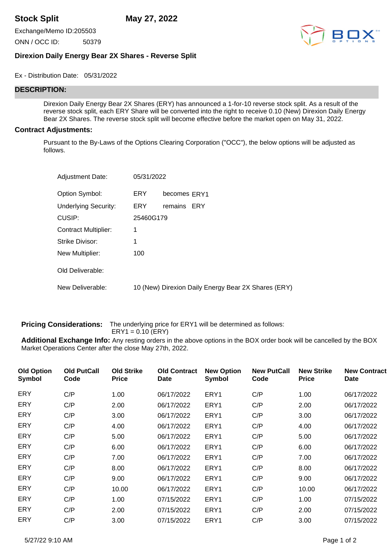**Stock Split May 27, 2022**

Exchange/Memo ID:205503

ONN / OCC ID: 50379



## **Direxion Daily Energy Bear 2X Shares - Reverse Split**

Ex - Distribution Date: 05/31/2022

## **DESCRIPTION:**

Direxion Daily Energy Bear 2X Shares (ERY) has announced a 1-for-10 reverse stock split. As a result of the reverse stock split, each ERY Share will be converted into the right to receive 0.10 (New) Direxion Daily Energy Bear 2X Shares. The reverse stock split will become effective before the market open on May 31, 2022.

## **Contract Adjustments:**

Pursuant to the By-Laws of the Options Clearing Corporation ("OCC"), the below options will be adjusted as follows.

| <b>Adjustment Date:</b>     | 05/31/2022 |                                                     |
|-----------------------------|------------|-----------------------------------------------------|
| Option Symbol:              | ERY.       | becomes ERY1                                        |
| <b>Underlying Security:</b> | ERY.       | remains ERY                                         |
| CUSIP:                      | 25460G179  |                                                     |
| Contract Multiplier:        | 1          |                                                     |
| Strike Divisor:             | 1          |                                                     |
| New Multiplier:             | 100        |                                                     |
| Old Deliverable:            |            |                                                     |
| New Deliverable:            |            | 10 (New) Direxion Daily Energy Bear 2X Shares (ERY) |

**Pricing Considerations:** The underlying price for ERY1 will be determined as follows: ERY1 = 0.10 (ERY)

**Additional Exchange Info:** Any resting orders in the above options in the BOX order book will be cancelled by the BOX Market Operations Center after the close May 27th, 2022.

| <b>Old Option</b><br>Symbol | <b>Old PutCall</b><br>Code | <b>Old Strike</b><br><b>Price</b> | <b>Old Contract</b><br><b>Date</b> | <b>New Option</b><br><b>Symbol</b> | <b>New PutCall</b><br>Code | <b>New Strike</b><br><b>Price</b> | <b>New Contract</b><br><b>Date</b> |
|-----------------------------|----------------------------|-----------------------------------|------------------------------------|------------------------------------|----------------------------|-----------------------------------|------------------------------------|
| <b>ERY</b>                  | C/P                        | 1.00                              | 06/17/2022                         | ERY1                               | C/P                        | 1.00                              | 06/17/2022                         |
| <b>ERY</b>                  | C/P                        | 2.00                              | 06/17/2022                         | ERY1                               | C/P                        | 2.00                              | 06/17/2022                         |
| <b>ERY</b>                  | C/P                        | 3.00                              | 06/17/2022                         | ERY1                               | C/P                        | 3.00                              | 06/17/2022                         |
| <b>ERY</b>                  | C/P                        | 4.00                              | 06/17/2022                         | ERY1                               | C/P                        | 4.00                              | 06/17/2022                         |
| <b>ERY</b>                  | C/P                        | 5.00                              | 06/17/2022                         | ERY1                               | C/P                        | 5.00                              | 06/17/2022                         |
| <b>ERY</b>                  | C/P                        | 6.00                              | 06/17/2022                         | ERY1                               | C/P                        | 6.00                              | 06/17/2022                         |
| <b>ERY</b>                  | C/P                        | 7.00                              | 06/17/2022                         | ERY1                               | C/P                        | 7.00                              | 06/17/2022                         |
| ERY                         | C/P                        | 8.00                              | 06/17/2022                         | ERY1                               | C/P                        | 8.00                              | 06/17/2022                         |
| <b>ERY</b>                  | C/P                        | 9.00                              | 06/17/2022                         | ERY1                               | C/P                        | 9.00                              | 06/17/2022                         |
| <b>ERY</b>                  | C/P                        | 10.00                             | 06/17/2022                         | ERY1                               | C/P                        | 10.00                             | 06/17/2022                         |
| <b>ERY</b>                  | C/P                        | 1.00                              | 07/15/2022                         | ERY1                               | C/P                        | 1.00                              | 07/15/2022                         |
| ERY                         | C/P                        | 2.00                              | 07/15/2022                         | ERY1                               | C/P                        | 2.00                              | 07/15/2022                         |
| <b>ERY</b>                  | C/P                        | 3.00                              | 07/15/2022                         | ERY1                               | C/P                        | 3.00                              | 07/15/2022                         |